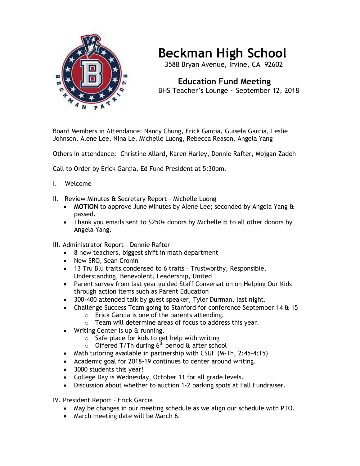

## **Beckman High School**

3588 Bryan Avenue, Irvine, CA 92602

 **Education Fund Meeting** BHS Teacher's Lounge ~ September 12, 2018

Board Members in Attendance: Nancy Chung, Erick Garcia, Guisela Garcia, Leslie Johnson, Alene Lee, Nina Le, Michelle Luong, Rebecca Reason, Angela Yang

Others in attendance: Christine Allard, Karen Harley, Donnie Rafter, Mojgan Zadeh

Call to Order by Erick Garcia, Ed Fund President at 5:30pm.

- I. Welcome
- II. Review Minutes & Secretary Report Michelle Luong
	- **MOTION** to approve June Minutes by Alene Lee; seconded by Angela Yang & passed.
	- Thank you emails sent to \$250+ donors by Michelle & to all other donors by Angela Yang.
- III. Administrator Report Donnie Rafter
	- 8 new teachers, biggest shift in math department
	- New SRO, Sean Cronin
	- 13 Tru Blu traits condensed to 6 traits Trustworthy, Responsible, Understanding, Benevolent, Leadership, United
	- Parent survey from last year guided Staff Conversation on Helping Our Kids through action items such as Parent Education
	- 300-400 attended talk by guest speaker, Tyler Durman, last night.
	- Challenge Success Team going to Stanford for conference September 14 & 15
		- o Erick Garcia is one of the parents attending.
		- o Team will determine areas of focus to address this year.
	- Writing Center is up & running.
		- $\circ$  Safe place for kids to get help with writing
		- $\circ$  Offered T/Th during 6<sup>th</sup> period & after school
	- Math tutoring available in partnership with CSUF (M-Th, 2:45-4:15)
	- Academic goal for 2018-19 continues to center around writing.
	- 3000 students this year!
	- College Day is Wednesday, October 11 for all grade levels.
	- Discussion about whether to auction 1-2 parking spots at Fall Fundraiser.

IV. President Report – Erick Garcia

- May be changes in our meeting schedule as we align our schedule with PTO.
- March meeting date will be March 6.